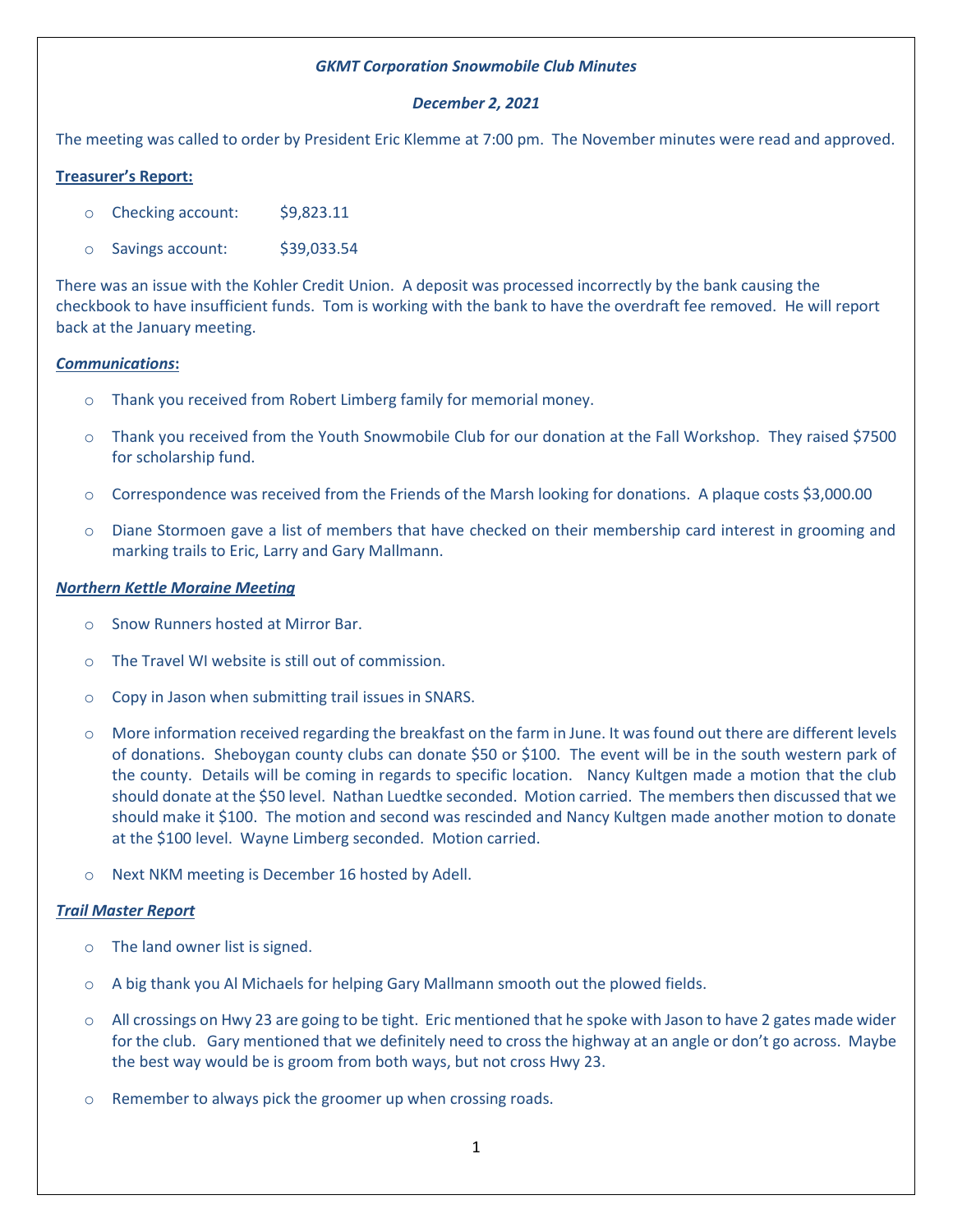# *GKMT Corporation Snowmobile Club Minutes*

# *December 2, 2021*

The meeting was called to order by President Eric Klemme at 7:00 pm. The November minutes were read and approved.

# **Treasurer's Report:**

- o Checking account: \$9,823.11
- o Savings account: \$39,033.54

There was an issue with the Kohler Credit Union. A deposit was processed incorrectly by the bank causing the checkbook to have insufficient funds. Tom is working with the bank to have the overdraft fee removed. He will report back at the January meeting.

## *Communications***:**

- o Thank you received from Robert Limberg family for memorial money.
- o Thank you received from the Youth Snowmobile Club for our donation at the Fall Workshop. They raised \$7500 for scholarship fund.
- o Correspondence was received from the Friends of the Marsh looking for donations. A plaque costs \$3,000.00
- o Diane Stormoen gave a list of members that have checked on their membership card interest in grooming and marking trails to Eric, Larry and Gary Mallmann.

## *Northern Kettle Moraine Meeting*

- o Snow Runners hosted at Mirror Bar.
- o The Travel WI website is still out of commission.
- o Copy in Jason when submitting trail issues in SNARS.
- o More information received regarding the breakfast on the farm in June. It was found out there are different levels of donations. Sheboygan county clubs can donate \$50 or \$100. The event will be in the south western park of the county. Details will be coming in regards to specific location. Nancy Kultgen made a motion that the club should donate at the \$50 level. Nathan Luedtke seconded. Motion carried. The members then discussed that we should make it \$100. The motion and second was rescinded and Nancy Kultgen made another motion to donate at the \$100 level. Wayne Limberg seconded. Motion carried.
- o Next NKM meeting is December 16 hosted by Adell.

#### *Trail Master Report*

- o The land owner list is signed.
- o A big thank you Al Michaels for helping Gary Mallmann smooth out the plowed fields.
- o All crossings on Hwy 23 are going to be tight. Eric mentioned that he spoke with Jason to have 2 gates made wider for the club. Gary mentioned that we definitely need to cross the highway at an angle or don't go across. Maybe the best way would be is groom from both ways, but not cross Hwy 23.
- o Remember to always pick the groomer up when crossing roads.